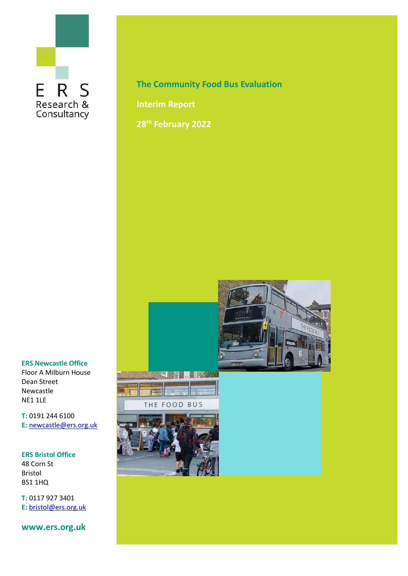# ERS Research &<br>Consultancy

**The Community Food Bus Evaluation**

**Interim Report**

**28th February 2022**



#### **ERS Newcastle Office**

Floor A Milburn House Dean Street Newcastle NE1 1LE

**T:** 0191 244 6100 **E:** [newcastle@ers.org.uk](mailto:newcastle@ers.org.uk)

#### **ERS Bristol Office**

48 Corn St Bristol BS1 1HQ

**T:** 0117 927 3401 **E:** [bristol@ers.org.uk](mailto:bristol@ers.org.uk)

**www.ers.org.uk**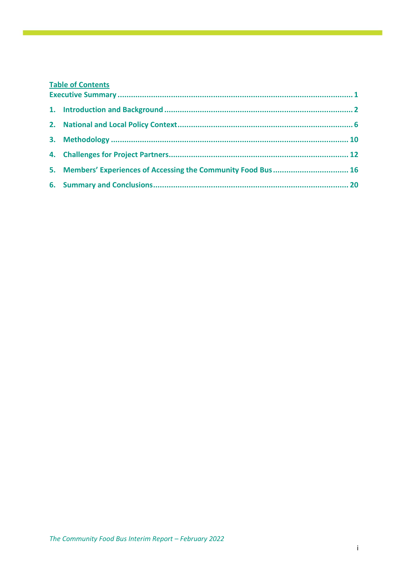# **Table of Contents**

|  | 5. Members' Experiences of Accessing the Community Food Bus  16 |  |
|--|-----------------------------------------------------------------|--|
|  |                                                                 |  |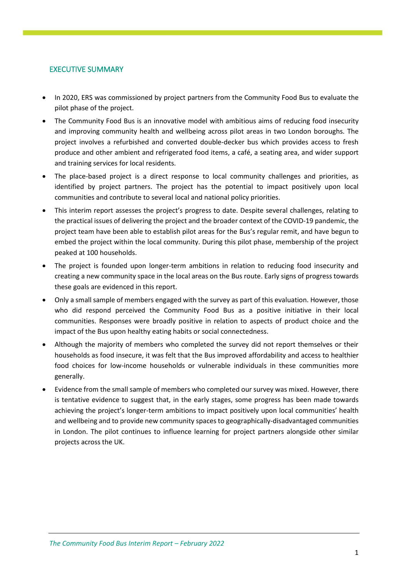## <span id="page-2-0"></span>EXECUTIVE SUMMARY

- In 2020, ERS was commissioned by project partners from the Community Food Bus to evaluate the pilot phase of the project.
- The Community Food Bus is an innovative model with ambitious aims of reducing food insecurity and improving community health and wellbeing across pilot areas in two London boroughs. The project involves a refurbished and converted double-decker bus which provides access to fresh produce and other ambient and refrigerated food items, a café, a seating area, and wider support and training services for local residents.
- The place-based project is a direct response to local community challenges and priorities, as identified by project partners. The project has the potential to impact positively upon local communities and contribute to several local and national policy priorities.
- This interim report assesses the project's progress to date. Despite several challenges, relating to the practical issues of delivering the project and the broader context of the COVID-19 pandemic, the project team have been able to establish pilot areas for the Bus's regular remit, and have begun to embed the project within the local community. During this pilot phase, membership of the project peaked at 100 households.
- The project is founded upon longer-term ambitions in relation to reducing food insecurity and creating a new community space in the local areas on the Bus route. Early signs of progress towards these goals are evidenced in this report.
- Only a small sample of members engaged with the survey as part of this evaluation. However, those who did respond perceived the Community Food Bus as a positive initiative in their local communities. Responses were broadly positive in relation to aspects of product choice and the impact of the Bus upon healthy eating habits or social connectedness.
- Although the majority of members who completed the survey did not report themselves or their households as food insecure, it was felt that the Bus improved affordability and access to healthier food choices for low-income households or vulnerable individuals in these communities more generally.
- Evidence from the small sample of members who completed our survey was mixed. However, there is tentative evidence to suggest that, in the early stages, some progress has been made towards achieving the project's longer-term ambitions to impact positively upon local communities' health and wellbeing and to provide new community spaces to geographically-disadvantaged communities in London. The pilot continues to influence learning for project partners alongside other similar projects across the UK.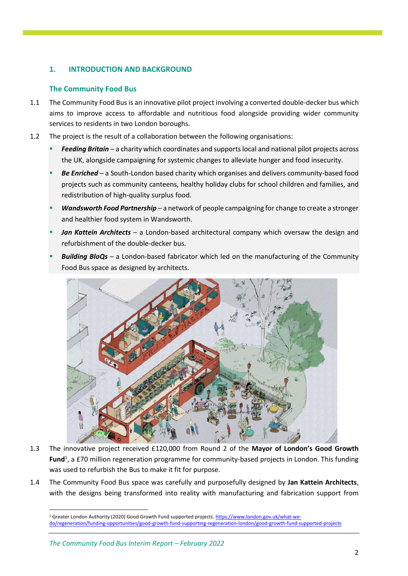## <span id="page-3-0"></span>**1. INTRODUCTION AND BACKGROUND**

## **The Community Food Bus**

- 1.1 The Community Food Bus is an innovative pilot project involving a converted double-decker bus which aims to improve access to affordable and nutritious food alongside providing wider community services to residents in two London boroughs.
- 1.2 The project is the result of a collaboration between the following organisations:
	- **Feeding Britain** a charity which coordinates and supports local and national pilot projects across the UK, alongside campaigning for systemic changes to alleviate hunger and food insecurity.
	- **Be Enriched** a South-London based charity which organises and delivers community-based food projects such as community canteens, healthy holiday clubs for school children and families, and redistribution of high-quality surplus food.
	- Wandsworth Food Partnership a network of people campaigning for change to create a stronger and healthier food system in Wandsworth.
	- **Jan Kattein Architects** a London-based architectural company which oversaw the design and refurbishment of the double-decker bus.
	- **Building BloQs** a London-based fabricator which led on the manufacturing of the Community Food Bus space as designed by architects.



- 1.3 The innovative project received £120,000 from Round 2 of the **Mayor of London's Good Growth**  Fund<sup>1</sup>, a £70 million regeneration programme for community-based projects in London. This funding was used to refurbish the Bus to make it fit for purpose.
- 1.4 The Community Food Bus space was carefully and purposefully designed by **Jan Kattein Architects**, with the designs being transformed into reality with manufacturing and fabrication support from

<sup>1</sup> Greater London Authority (2020) Good Growth Fund supported projects[. https://www.london.gov.uk/what-we](https://www.london.gov.uk/what-we-do/regeneration/funding-opportunities/good-growth-fund-supporting-regeneration-london/good-growth-fund-supported-projects)[do/regeneration/funding-opportunities/good-growth-fund-supporting-regeneration-london/good-growth-fund-supported-projects](https://www.london.gov.uk/what-we-do/regeneration/funding-opportunities/good-growth-fund-supporting-regeneration-london/good-growth-fund-supported-projects)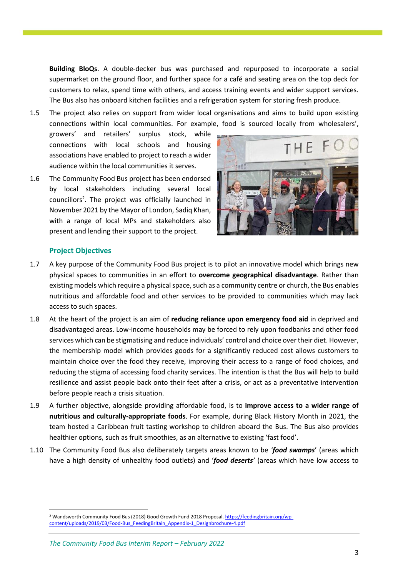**Building BloQs**. A double-decker bus was purchased and repurposed to incorporate a social supermarket on the ground floor, and further space for a café and seating area on the top deck for customers to relax, spend time with others, and access training events and wider support services. The Bus also has onboard kitchen facilities and a refrigeration system for storing fresh produce.

1.5 The project also relies on support from wider local organisations and aims to build upon existing connections within local communities. For example, food is sourced locally from wholesalers',

growers' and retailers' surplus stock, while connections with local schools and housing associations have enabled to project to reach a wider audience within the local communities it serves.

<span id="page-4-0"></span>1.6 The Community Food Bus project has been endorsed by local stakeholders including several local councillors<sup>2</sup>. The project was officially launched in November 2021 by the Mayor of London, Sadiq Khan, with a range of local MPs and stakeholders also present and lending their support to the project.



#### **Project Objectives**

- 1.7 A key purpose of the Community Food Bus project is to pilot an innovative model which brings new physical spaces to communities in an effort to **overcome geographical disadvantage**. Rather than existing models which require a physical space, such as a community centre or church, the Bus enables nutritious and affordable food and other services to be provided to communities which may lack access to such spaces.
- 1.8 At the heart of the project is an aim of **reducing reliance upon emergency food aid** in deprived and disadvantaged areas. Low-income households may be forced to rely upon foodbanks and other food services which can be stigmatising and reduce individuals' control and choice over their diet. However, the membership model which provides goods for a significantly reduced cost allows customers to maintain choice over the food they receive, improving their access to a range of food choices, and reducing the stigma of accessing food charity services. The intention is that the Bus will help to build resilience and assist people back onto their feet after a crisis, or act as a preventative intervention before people reach a crisis situation.
- 1.9 A further objective, alongside providing affordable food, is to **improve access to a wider range of nutritious and culturally-appropriate foods**. For example, during Black History Month in 2021, the team hosted a Caribbean fruit tasting workshop to children aboard the Bus. The Bus also provides healthier options, such as fruit smoothies, as an alternative to existing 'fast food'.
- 1.10 The Community Food Bus also deliberately targets areas known to be *'food swamps*' (areas which have a high density of unhealthy food outlets) and '*food deserts'* (areas which have low access to

<sup>2</sup> Wandsworth Community Food Bus (2018) Good Growth Fund 2018 Proposal[. https://feedingbritain.org/wp](https://feedingbritain.org/wp-content/uploads/2019/03/Food-Bus_FeedingBritain_Appendix-1_Designbrochure-4.pdf)[content/uploads/2019/03/Food-Bus\\_FeedingBritain\\_Appendix-1\\_Designbrochure-4.pdf](https://feedingbritain.org/wp-content/uploads/2019/03/Food-Bus_FeedingBritain_Appendix-1_Designbrochure-4.pdf)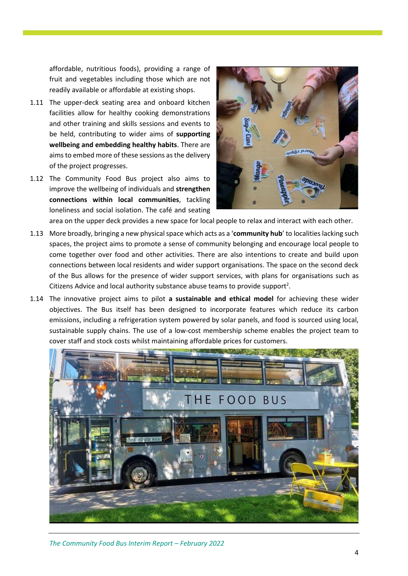affordable, nutritious foods), providing a range of fruit and vegetables including those which are not readily available or affordable at existing shops.

- 1.11 The upper-deck seating area and onboard kitchen facilities allow for healthy cooking demonstrations and other training and skills sessions and events to be held, contributing to wider aims of **supporting wellbeing and embedding healthy habits**. There are aims to embed more of these sessions as the delivery of the project progresses.
- 1.12 The Community Food Bus project also aims to improve the wellbeing of individuals and **strengthen connections within local communities**, tackling loneliness and social isolation. The café and seating



area on the upper deck provides a new space for local people to relax and interact with each other.

- 1.13 More broadly, bringing a new physical space which acts as a '**community hub**' to localities lacking such spaces, the project aims to promote a sense of community belonging and encourage local people to come together over food and other activities. There are also intentions to create and build upon connections between local residents and wider support organisations. The space on the second deck of the Bus allows for the presence of wider support services, with plans for organisations such as Citizens Advice and local authority substance abuse teams to provide support<sup>2</sup>[.](#page-4-0)
- 1.14 The innovative project aims to pilot **a sustainable and ethical model** for achieving these wider objectives. The Bus itself has been designed to incorporate features which reduce its carbon emissions, including a refrigeration system powered by solar panels, and food is sourced using local, sustainable supply chains. The use of a low-cost membership scheme enables the project team to cover staff and stock costs whilst maintaining affordable prices for customers.

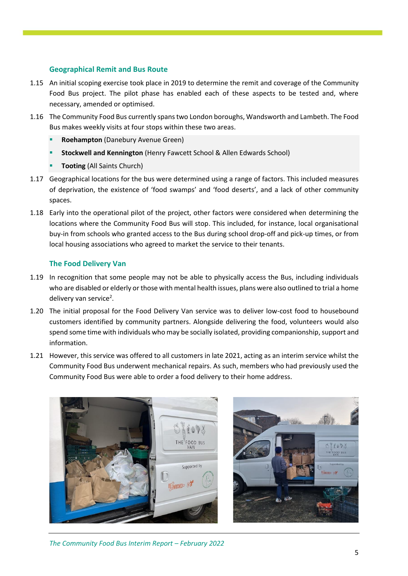## **Geographical Remit and Bus Route**

- 1.15 An initial scoping exercise took place in 2019 to determine the remit and coverage of the Community Food Bus project. The pilot phase has enabled each of these aspects to be tested and, where necessary, amended or optimised.
- 1.16 The Community Food Bus currently spans two London boroughs, Wandsworth and Lambeth. The Food Bus makes weekly visits at four stops within these two areas.
	- **Roehampton** (Danebury Avenue Green)
	- **Stockwell and Kennington** (Henry Fawcett School & Allen Edwards School)
	- **Tooting** (All Saints Church)
- 1.17 Geographical locations for the bus were determined using a range of factors. This included measures of deprivation, the existence of 'food swamps' and 'food deserts', and a lack of other community spaces.
- 1.18 Early into the operational pilot of the project, other factors were considered when determining the locations where the Community Food Bus will stop. This included, for instance, local organisational buy-in from schools who granted access to the Bus during school drop-off and pick-up times, or from local housing associations who agreed to market the service to their tenants.

## **The Food Delivery Van**

- 1.19 In recognition that some people may not be able to physically access the Bus, including individuals who are disabled or elderly or those with mental health issues, plans were also outlined to trial a home delivery van service<sup>2</sup>.
- 1.20 The initial proposal for the Food Delivery Van service was to deliver low-cost food to housebound customers identified by community partners. Alongside delivering the food, volunteers would also spend some time with individuals who may be socially isolated, providing companionship, support and information.
- 1.21 However, this service was offered to all customers in late 2021, acting as an interim service whilst the Community Food Bus underwent mechanical repairs. As such, members who had previously used the Community Food Bus were able to order a food delivery to their home address.



*The Community Food Bus Interim Report – February 2022*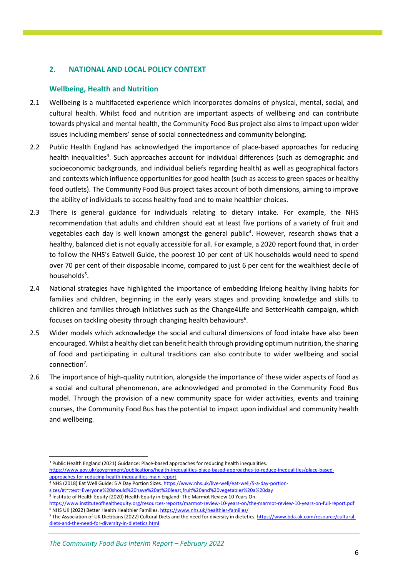## <span id="page-7-0"></span>**2. NATIONAL AND LOCAL POLICY CONTEXT**

## **Wellbeing, Health and Nutrition**

- 2.1 Wellbeing is a multifaceted experience which incorporates domains of physical, mental, social, and cultural health. Whilst food and nutrition are important aspects of wellbeing and can contribute towards physical and mental health, the Community Food Bus project also aims to impact upon wider issues including members' sense of social connectedness and community belonging.
- 2.2 Public Health England has acknowledged the importance of place-based approaches for reducing health inequalities<sup>3</sup>. Such approaches account for individual differences (such as demographic and socioeconomic backgrounds, and individual beliefs regarding health) as well as geographical factors and contexts which influence opportunities for good health (such as access to green spaces or healthy food outlets). The Community Food Bus project takes account of both dimensions, aiming to improve the ability of individuals to access healthy food and to make healthier choices.
- 2.3 There is general guidance for individuals relating to dietary intake. For example, the NHS recommendation that adults and children should eat at least five portions of a variety of fruit and vegetables each day is well known amongst the general public<sup>4</sup>. However, research shows that a healthy, balanced diet is not equally accessible for all. For example, a 2020 report found that, in order to follow the NHS's Eatwell Guide, the poorest 10 per cent of UK households would need to spend over 70 per cent of their disposable income, compared to just 6 per cent for the wealthiest decile of households<sup>5</sup>.
- 2.4 National strategies have highlighted the importance of embedding lifelong healthy living habits for families and children, beginning in the early years stages and providing knowledge and skills to children and families through initiatives such as the Change4Life and BetterHealth campaign, which focuses on tackling obesity through changing health behaviours<sup>6</sup>.
- 2.5 Wider models which acknowledge the social and cultural dimensions of food intake have also been encouraged. Whilst a healthy diet can benefit health through providing optimum nutrition, the sharing of food and participating in cultural traditions can also contribute to wider wellbeing and social connection<sup>7</sup>.
- 2.6 The importance of high-quality nutrition, alongside the importance of these wider aspects of food as a social and cultural phenomenon, are acknowledged and promoted in the Community Food Bus model. Through the provision of a new community space for wider activities, events and training courses, the Community Food Bus has the potential to impact upon individual and community health and wellbeing.

- <sup>4</sup> NHS (2018) Eat Well Guide: 5 A Day Portion Sizes. [https://www.nhs.uk/live-well/eat-well/5-a-day-portion](https://www.nhs.uk/live-well/eat-well/5-a-day-portion-sizes/#:~:text=Everyone%20should%20have%20at%20least,fruit%20and%20vegetables%20a%20day)[sizes/#:~:text=Everyone%20should%20have%20at%20least,fruit%20and%20vegetables%20a%20day](https://www.nhs.uk/live-well/eat-well/5-a-day-portion-sizes/#:~:text=Everyone%20should%20have%20at%20least,fruit%20and%20vegetables%20a%20day)
- <sup>5</sup> Institute of Health Equity (2020) Health Equity in England: The Marmot Review 10 Years On.

<sup>3</sup> Public Health England (2021) Guidance: Place-based approaches for reducing health inequalities. [https://www.gov.uk/government/publications/health-inequalities-place-based-approaches-to-reduce-inequalities/place-based](https://www.gov.uk/government/publications/health-inequalities-place-based-approaches-to-reduce-inequalities/place-based-approaches-for-reducing-health-inequalities-main-report)[approaches-for-reducing-health-inequalities-main-report](https://www.gov.uk/government/publications/health-inequalities-place-based-approaches-to-reduce-inequalities/place-based-approaches-for-reducing-health-inequalities-main-report)

<https://www.instituteofhealthequity.org/resources-reports/marmot-review-10-years-on/the-marmot-review-10-years-on-full-report.pdf> <sup>6</sup> NHS UK (2022) Better Health Healthier Families.<https://www.nhs.uk/healthier-families/>

<sup>7</sup> The Association of UK Dietitians (2022) Cultural Diets and the need for diversity in dietetics[. https://www.bda.uk.com/resource/cultural](https://www.bda.uk.com/resource/cultural-diets-and-the-need-for-diversity-in-dietetics.html)[diets-and-the-need-for-diversity-in-dietetics.html](https://www.bda.uk.com/resource/cultural-diets-and-the-need-for-diversity-in-dietetics.html)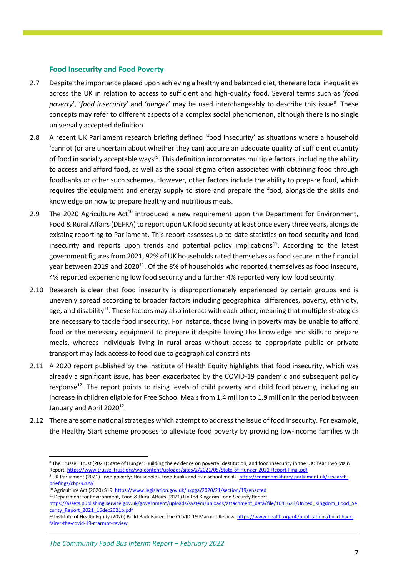### **Food Insecurity and Food Poverty**

- 2.7 Despite the importance placed upon achieving a healthy and balanced diet, there are local inequalities across the UK in relation to access to sufficient and high-quality food. Several terms such as '*food*  poverty', 'food insecurity' and 'hunger' may be used interchangeably to describe this issue<sup>8</sup>. These concepts may refer to different aspects of a complex social phenomenon, although there is no single universally accepted definition.
- 2.8 A recent UK Parliament research briefing defined 'food insecurity' as situations where a household 'cannot (or are uncertain about whether they can) acquire an adequate quality of sufficient quantity of food in socially acceptable ways'<sup>9</sup>. This definition incorporates multiple factors, including the ability to access and afford food, as well as the social stigma often associated with obtaining food through foodbanks or other such schemes. However, other factors include the ability to prepare food, which requires the equipment and energy supply to store and prepare the food, alongside the skills and knowledge on how to prepare healthy and nutritious meals.
- <span id="page-8-0"></span>2.9 The 2020 Agriculture  $Act^{10}$  introduced a new requirement upon the Department for Environment, Food & Rural Affairs (DEFRA) to report upon UK food security at least once every three years, alongside existing reporting to Parliament**.** This report assesses up-to-date statistics on food security and food insecurity and reports upon trends and potential policy implications $^{11}$ . According to the latest government figures from 2021, 92% of UK households rated themselves as food secure in the financial year between 2019 and 2020<sup>[11](#page-8-0)</sup>. Of the 8% of households who reported themselves as food insecure, 4% reported experiencing low food security and a further 4% reported very low food security.
- 2.10 Research is clear that food insecurity is disproportionately experienced by certain groups and is unevenly spread according to broader factors including geographical differences, poverty, ethnicity, age, and disability<sup>11</sup>. These factors may also interact with each other, meaning that multiple strategies are necessary to tackle food insecurity. For instance, those living in poverty may be unable to afford food or the necessary equipment to prepare it despite having the knowledge and skills to prepare meals, whereas individuals living in rural areas without access to appropriate public or private transport may lack access to food due to geographical constraints.
- 2.11 A 2020 report published by the Institute of Health Equity highlights that food insecurity, which was already a significant issue, has been exacerbated by the COVID-19 pandemic and subsequent policy response<sup>12</sup>. The report points to rising levels of child poverty and child food poverty, including an increase in children eligible for Free School Meals from 1.4 million to 1.9 million in the period between January and April 2020 $^{12}$ .
- 2.12 There are some national strategies which attempt to address the issue of food insecurity. For example, the Healthy Start scheme proposes to alleviate food poverty by providing low-income families with

- $\frac{10}{10}$  Agriculture Act (2020) S19.<https://www.legislation.gov.uk/ukpga/2020/21/section/19/enacted>
- <sup>11</sup> Department for Environment, Food & Rural Affairs (2021) United Kingdom Food Security Report.

<sup>8</sup> The Trussell Trust (2021) State of Hunger: Building the evidence on poverty, destitution, and food insecurity in the UK: Year Two Main Report[. https://www.trusselltrust.org/wp-content/uploads/sites/2/2021/05/State-of-Hunger-2021-Report-Final.pdf](https://www.trusselltrust.org/wp-content/uploads/sites/2/2021/05/State-of-Hunger-2021-Report-Final.pdf) <sup>9</sup> UK Parliament (2021) Food poverty: Households, food banks and free school meals[. https://commonslibrary.parliament.uk/research](https://commonslibrary.parliament.uk/research-briefings/cbp-9209/)[briefings/cbp-9209/](https://commonslibrary.parliament.uk/research-briefings/cbp-9209/)

[https://assets.publishing.service.gov.uk/government/uploads/system/uploads/attachment\\_data/file/1041623/United\\_Kingdom\\_Food\\_Se](https://assets.publishing.service.gov.uk/government/uploads/system/uploads/attachment_data/file/1041623/United_Kingdom_Food_Security_Report_2021_16dec2021b.pdf) [curity\\_Report\\_2021\\_16dec2021b.pdf](https://assets.publishing.service.gov.uk/government/uploads/system/uploads/attachment_data/file/1041623/United_Kingdom_Food_Security_Report_2021_16dec2021b.pdf)

<sup>&</sup>lt;sup>12</sup> Institute of Health Equity (2020) Build Back Fairer: The COVID-19 Marmot Review[. https://www.health.org.uk/publications/build-back](https://www.health.org.uk/publications/build-back-fairer-the-covid-19-marmot-review)[fairer-the-covid-19-marmot-review](https://www.health.org.uk/publications/build-back-fairer-the-covid-19-marmot-review)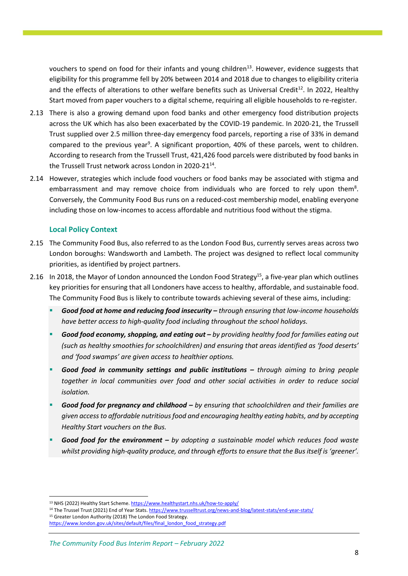vouchers to spend on food for their infants and young children<sup>13</sup>. However, evidence suggests that eligibility for this programme fell by 20% between 2014 and 2018 due to changes to eligibility criteria and the effects of alterations to other welfare benefits such as Universal Credit<sup>12</sup>. In 2022, Healthy Start moved from paper vouchers to a digital scheme, requiring all eligible households to re-register.

- 2.13 There is also a growing demand upon food banks and other emergency food distribution projects across the UK which has also been exacerbated by the COVID-19 pandemic. In 2020-21, the Trussell Trust supplied over 2.5 million three-day emergency food parcels, reporting a rise of 33% in demand compared to the previous year<sup>9</sup>. A significant proportion, 40% of these parcels, went to children. According to research from the Trussell Trust, 421,426 food parcels were distributed by food banks in the Trussell Trust network across London in 2020-21<sup>14</sup>.
- 2.14 However, strategies which include food vouchers or food banks may be associated with stigma and embarrassment and may remove choice from individuals who are forced to rely upon them<sup>8</sup>. Conversely, the Community Food Bus runs on a reduced-cost membership model, enabling everyone including those on low-incomes to access affordable and nutritious food without the stigma.

#### **Local Policy Context**

- 2.15 The Community Food Bus, also referred to as the London Food Bus, currently serves areas across two London boroughs: Wandsworth and Lambeth. The project was designed to reflect local community priorities, as identified by project partners.
- 2.16 In 2018, the Mayor of London announced the London Food Strategy<sup>15</sup>, a five-year plan which outlines key priorities for ensuring that all Londoners have access to healthy, affordable, and sustainable food. The Community Food Bus is likely to contribute towards achieving several of these aims, including:
	- *Good food at home and reducing food insecurity – through ensuring that low-income households have better access to high-quality food including throughout the school holidays.*
	- *Good food economy, shopping, and eating out – by providing healthy food for families eating out (such as healthy smoothies for schoolchildren) and ensuring that areas identified as 'food deserts' and 'food swamps' are given access to healthier options.*
	- *Good food in community settings and public institutions – through aiming to bring people together in local communities over food and other social activities in order to reduce social isolation.*
	- *Good food for pregnancy and childhood – by ensuring that schoolchildren and their families are given access to affordable nutritious food and encouraging healthy eating habits, and by accepting Healthy Start vouchers on the Bus.*
	- *Good food for the environment – by adopting a sustainable model which reduces food waste whilst providing high-quality produce, and through efforts to ensure that the Bus itself is 'greener'.*

<sup>15</sup> Greater London Authority (2018) The London Food Strategy.

[https://www.london.gov.uk/sites/default/files/final\\_london\\_food\\_strategy.pdf](https://www.london.gov.uk/sites/default/files/final_london_food_strategy.pdf)

<sup>13</sup> NHS (2022) Healthy Start Scheme[. https://www.healthystart.nhs.uk/how-to-apply/](https://www.healthystart.nhs.uk/how-to-apply/)

<sup>14</sup> The Trussel Trust (2021) End of Year Stats[. https://www.trusselltrust.org/news-and-blog/latest-stats/end-year-stats/](https://www.trusselltrust.org/news-and-blog/latest-stats/end-year-stats/)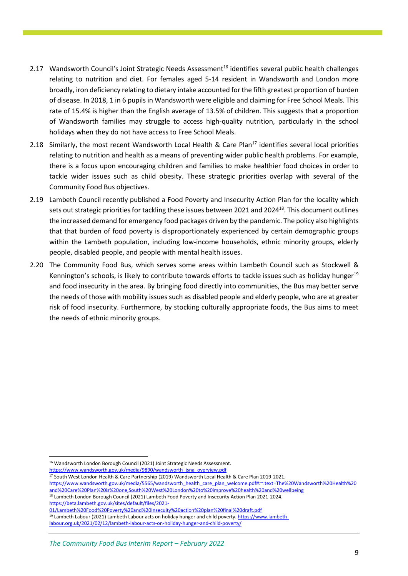- 2.17 Wandsworth Council's Joint Strategic Needs Assessment<sup>16</sup> identifies several public health challenges relating to nutrition and diet. For females aged 5-14 resident in Wandsworth and London more broadly, iron deficiency relating to dietary intake accounted for the fifth greatest proportion of burden of disease. In 2018, 1 in 6 pupils in Wandsworth were eligible and claiming for Free School Meals. This rate of 15.4% is higher than the English average of 13.5% of children. This suggests that a proportion of Wandsworth families may struggle to access high-quality nutrition, particularly in the school holidays when they do not have access to Free School Meals.
- 2.18 Similarly, the most recent Wandsworth Local Health & Care Plan<sup>17</sup> identifies several local priorities relating to nutrition and health as a means of preventing wider public health problems. For example, there is a focus upon encouraging children and families to make healthier food choices in order to tackle wider issues such as child obesity. These strategic priorities overlap with several of the Community Food Bus objectives.
- 2.19 Lambeth Council recently published a Food Poverty and Insecurity Action Plan for the locality which sets out strategic priorities for tackling these issues between 2021 and 2024<sup>18</sup>. This document outlines the increased demand for emergency food packages driven by the pandemic. The policy also highlights that that burden of food poverty is disproportionately experienced by certain demographic groups within the Lambeth population, including low-income households, ethnic minority groups, elderly people, disabled people, and people with mental health issues.
- 2.20 The Community Food Bus, which serves some areas within Lambeth Council such as Stockwell & Kennington's schools, is likely to contribute towards efforts to tackle issues such as holiday hunger<sup>19</sup> and food insecurity in the area. By bringing food directly into communities, the Bus may better serve the needs of those with mobility issues such as disabled people and elderly people, who are at greater risk of food insecurity. Furthermore, by stocking culturally appropriate foods, the Bus aims to meet the needs of ethnic minority groups.

<sup>17</sup> South West London Health & Care Partnership (2019) Wandsworth Local Health & Care Plan 2019-2021.

<sup>18</sup> Lambeth London Borough Council (2021) Lambeth Food Poverty and Insecurity Action Plan 2021-2024. [https://beta.lambeth.gov.uk/sites/default/files/2021-](https://beta.lambeth.gov.uk/sites/default/files/2021-01/Lambeth%20Food%20Poverty%20and%20Insecuity%20action%20plan%20final%20draft.pdf)

<sup>19</sup> Lambeth Labour (2021) Lambeth Labour acts on holiday hunger and child poverty[. https://www.lambeth](https://www.lambeth-labour.org.uk/2021/02/12/lambeth-labour-acts-on-holiday-hunger-and-child-poverty/)[labour.org.uk/2021/02/12/lambeth-labour-acts-on-holiday-hunger-and-child-poverty/](https://www.lambeth-labour.org.uk/2021/02/12/lambeth-labour-acts-on-holiday-hunger-and-child-poverty/)

<sup>&</sup>lt;sup>16</sup> Wandsworth London Borough Council (2021) Joint Strategic Needs Assessment.

[https://www.wandsworth.gov.uk/media/9890/wandsworth\\_jsna\\_overview.pdf](https://www.wandsworth.gov.uk/media/9890/wandsworth_jsna_overview.pdf)

[https://www.wandsworth.gov.uk/media/5565/wandsworth\\_health\\_care\\_plan\\_welcome.pdf#:~:text=The%20Wandsworth%20Health%20](https://www.wandsworth.gov.uk/media/5565/wandsworth_health_care_plan_welcome.pdf#:~:text=The%20Wandsworth%20Health%20and%20Care%20Plan%20is%20one,South%20West%20London%20to%20improve%20health%20and%20wellbeing) [and%20Care%20Plan%20is%20one,South%20West%20London%20to%20improve%20health%20and%20wellbeing](https://www.wandsworth.gov.uk/media/5565/wandsworth_health_care_plan_welcome.pdf#:~:text=The%20Wandsworth%20Health%20and%20Care%20Plan%20is%20one,South%20West%20London%20to%20improve%20health%20and%20wellbeing)

[<sup>01/</sup>Lambeth%20Food%20Poverty%20and%20Insecuity%20action%20plan%20final%20draft.pdf](https://beta.lambeth.gov.uk/sites/default/files/2021-01/Lambeth%20Food%20Poverty%20and%20Insecuity%20action%20plan%20final%20draft.pdf)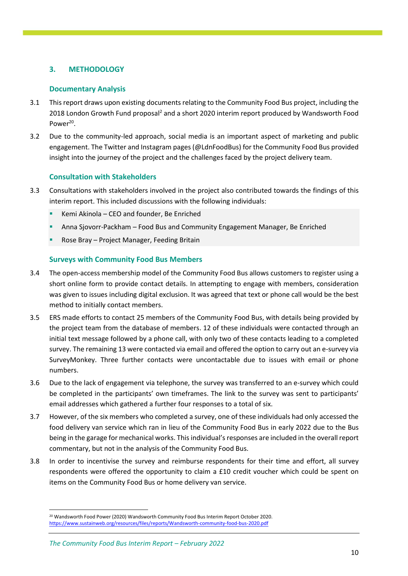## <span id="page-11-0"></span>**3. METHODOLOGY**

### **Documentary Analysis**

- 3.1 This report draws upon existing documents relating to the Community Food Bus project, including the 2018 London Growth Fund proposal<sup>2</sup> and a short 2020 interim report produced by Wandsworth Food Power<sup>20</sup>.
- 3.2 Due to the community-led approach, social media is an important aspect of marketing and public engagement. The Twitter and Instagram pages (@LdnFoodBus) for the Community Food Bus provided insight into the journey of the project and the challenges faced by the project delivery team.

#### **Consultation with Stakeholders**

- 3.3 Consultations with stakeholders involved in the project also contributed towards the findings of this interim report. This included discussions with the following individuals:
	- Kemi Akinola CEO and founder, Be Enriched
	- Anna Sjovorr-Packham Food Bus and Community Engagement Manager, Be Enriched
	- Rose Bray Project Manager, Feeding Britain

### **Surveys with Community Food Bus Members**

- 3.4 The open-access membership model of the Community Food Bus allows customers to register using a short online form to provide contact details. In attempting to engage with members, consideration was given to issues including digital exclusion. It was agreed that text or phone call would be the best method to initially contact members.
- 3.5 ERS made efforts to contact 25 members of the Community Food Bus, with details being provided by the project team from the database of members. 12 of these individuals were contacted through an initial text message followed by a phone call, with only two of these contacts leading to a completed survey. The remaining 13 were contacted via email and offered the option to carry out an e-survey via SurveyMonkey. Three further contacts were uncontactable due to issues with email or phone numbers.
- 3.6 Due to the lack of engagement via telephone, the survey was transferred to an e-survey which could be completed in the participants' own timeframes. The link to the survey was sent to participants' email addresses which gathered a further four responses to a total of six.
- 3.7 However, of the six members who completed a survey, one of these individuals had only accessed the food delivery van service which ran in lieu of the Community Food Bus in early 2022 due to the Bus being in the garage for mechanical works. This individual's responses are included in the overall report commentary, but not in the analysis of the Community Food Bus.
- 3.8 In order to incentivise the survey and reimburse respondents for their time and effort, all survey respondents were offered the opportunity to claim a £10 credit voucher which could be spent on items on the Community Food Bus or home delivery van service.

<sup>&</sup>lt;sup>20</sup> Wandsworth Food Power (2020) Wandsworth Community Food Bus Interim Report October 2020. <https://www.sustainweb.org/resources/files/reports/Wandsworth-community-food-bus-2020.pdf>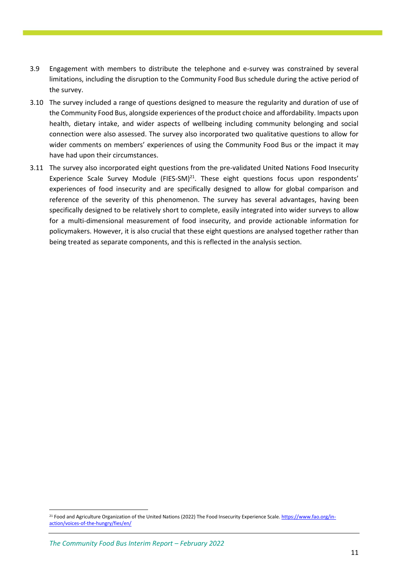- 3.9 Engagement with members to distribute the telephone and e-survey was constrained by several limitations, including the disruption to the Community Food Bus schedule during the active period of the survey.
- 3.10 The survey included a range of questions designed to measure the regularity and duration of use of the Community Food Bus, alongside experiences of the product choice and affordability. Impacts upon health, dietary intake, and wider aspects of wellbeing including community belonging and social connection were also assessed. The survey also incorporated two qualitative questions to allow for wider comments on members' experiences of using the Community Food Bus or the impact it may have had upon their circumstances.
- 3.11 The survey also incorporated eight questions from the pre-validated United Nations Food Insecurity Experience Scale Survey Module (FIES-SM) $^{21}$ . These eight questions focus upon respondents' experiences of food insecurity and are specifically designed to allow for global comparison and reference of the severity of this phenomenon. The survey has several advantages, having been specifically designed to be relatively short to complete, easily integrated into wider surveys to allow for a multi-dimensional measurement of food insecurity, and provide actionable information for policymakers. However, it is also crucial that these eight questions are analysed together rather than being treated as separate components, and this is reflected in the analysis section.

*The Community Food Bus Interim Report – February 2022*

<sup>21</sup> Food and Agriculture Organization of the United Nations (2022) The Food Insecurity Experience Scale[. https://www.fao.org/in](https://www.fao.org/in-action/voices-of-the-hungry/fies/en/)[action/voices-of-the-hungry/fies/en/](https://www.fao.org/in-action/voices-of-the-hungry/fies/en/)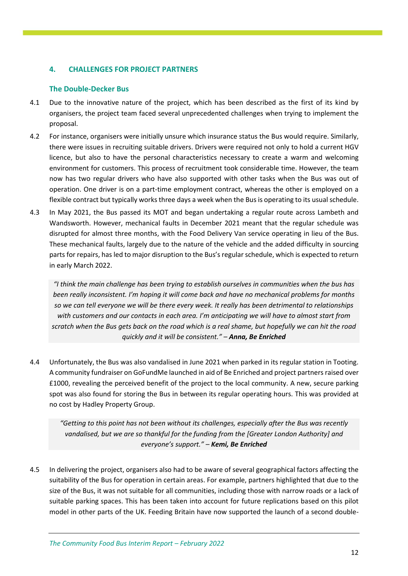## <span id="page-13-0"></span>**4. CHALLENGES FOR PROJECT PARTNERS**

## **The Double-Decker Bus**

- 4.1 Due to the innovative nature of the project, which has been described as the first of its kind by organisers, the project team faced several unprecedented challenges when trying to implement the proposal.
- 4.2 For instance, organisers were initially unsure which insurance status the Bus would require. Similarly, there were issues in recruiting suitable drivers. Drivers were required not only to hold a current HGV licence, but also to have the personal characteristics necessary to create a warm and welcoming environment for customers. This process of recruitment took considerable time. However, the team now has two regular drivers who have also supported with other tasks when the Bus was out of operation. One driver is on a part-time employment contract, whereas the other is employed on a flexible contract but typically works three days a week when the Bus is operating to its usual schedule.
- 4.3 In May 2021, the Bus passed its MOT and began undertaking a regular route across Lambeth and Wandsworth. However, mechanical faults in December 2021 meant that the regular schedule was disrupted for almost three months, with the Food Delivery Van service operating in lieu of the Bus. These mechanical faults, largely due to the nature of the vehicle and the added difficulty in sourcing parts for repairs, has led to major disruption to the Bus's regular schedule, which is expected to return in early March 2022.

*"I think the main challenge has been trying to establish ourselves in communities when the bus has been really inconsistent. I'm hoping it will come back and have no mechanical problems for months so we can tell everyone we will be there every week. It really has been detrimental to relationships with customers and our contacts in each area. I'm anticipating we will have to almost start from scratch when the Bus gets back on the road which is a real shame, but hopefully we can hit the road quickly and it will be consistent." – Anna, Be Enriched*

4.4 Unfortunately, the Bus was also vandalised in June 2021 when parked in its regular station in Tooting. A community fundraiser on GoFundMe launched in aid of Be Enriched and project partners raised over £1000, revealing the perceived benefit of the project to the local community. A new, secure parking spot was also found for storing the Bus in between its regular operating hours. This was provided at no cost by Hadley Property Group.

*"Getting to this point has not been without its challenges, especially after the Bus was recently vandalised, but we are so thankful for the funding from the [Greater London Authority] and everyone's support." – Kemi, Be Enriched*

4.5 In delivering the project, organisers also had to be aware of several geographical factors affecting the suitability of the Bus for operation in certain areas. For example, partners highlighted that due to the size of the Bus, it was not suitable for all communities, including those with narrow roads or a lack of suitable parking spaces. This has been taken into account for future replications based on this pilot model in other parts of the UK. Feeding Britain have now supported the launch of a second double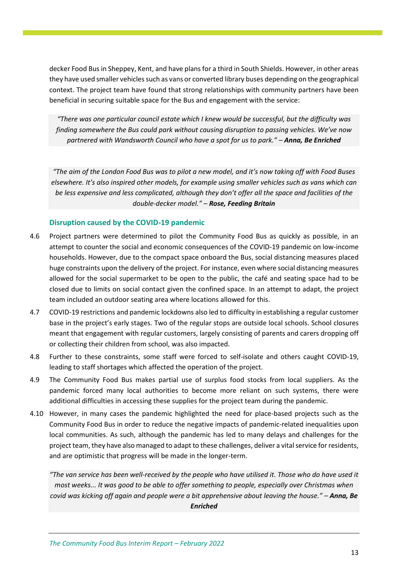decker Food Bus in Sheppey, Kent, and have plans for a third in South Shields. However, in other areas they have used smaller vehicles such as vans or converted library buses depending on the geographical context. The project team have found that strong relationships with community partners have been beneficial in securing suitable space for the Bus and engagement with the service:

*"There was one particular council estate which I knew would be successful, but the difficulty was finding somewhere the Bus could park without causing disruption to passing vehicles. We've now partnered with Wandsworth Council who have a spot for us to park." – Anna, Be Enriched*

*"The aim of the London Food Bus was to pilot a new model, and it's now taking off with Food Buses elsewhere. It's also inspired other models, for example using smaller vehicles such as vans which can be less expensive and less complicated, although they don't offer all the space and facilities of the double-decker model." – Rose, Feeding Britain*

#### **Disruption caused by the COVID-19 pandemic**

- 4.6 Project partners were determined to pilot the Community Food Bus as quickly as possible, in an attempt to counter the social and economic consequences of the COVID-19 pandemic on low-income households. However, due to the compact space onboard the Bus, social distancing measures placed huge constraints upon the delivery of the project. For instance, even where social distancing measures allowed for the social supermarket to be open to the public, the café and seating space had to be closed due to limits on social contact given the confined space. In an attempt to adapt, the project team included an outdoor seating area where locations allowed for this.
- 4.7 COVID-19 restrictions and pandemic lockdowns also led to difficulty in establishing a regular customer base in the project's early stages. Two of the regular stops are outside local schools. School closures meant that engagement with regular customers, largely consisting of parents and carers dropping off or collecting their children from school, was also impacted.
- 4.8 Further to these constraints, some staff were forced to self-isolate and others caught COVID-19, leading to staff shortages which affected the operation of the project.
- 4.9 The Community Food Bus makes partial use of surplus food stocks from local suppliers. As the pandemic forced many local authorities to become more reliant on such systems, there were additional difficulties in accessing these supplies for the project team during the pandemic.
- 4.10 However, in many cases the pandemic highlighted the need for place-based projects such as the Community Food Bus in order to reduce the negative impacts of pandemic-related inequalities upon local communities. As such, although the pandemic has led to many delays and challenges for the project team, they have also managed to adapt to these challenges, deliver a vital service for residents, and are optimistic that progress will be made in the longer-term.

*"The van service has been well-received by the people who have utilised it. Those who do have used it most weeks... It was good to be able to offer something to people, especially over Christmas when covid was kicking off again and people were a bit apprehensive about leaving the house." – Anna, Be Enriched*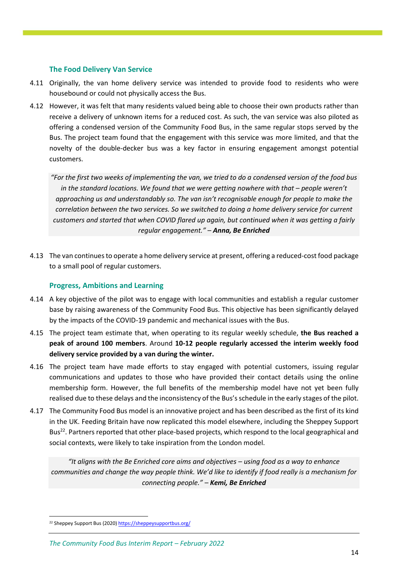### **The Food Delivery Van Service**

- 4.11 Originally, the van home delivery service was intended to provide food to residents who were housebound or could not physically access the Bus.
- 4.12 However, it was felt that many residents valued being able to choose their own products rather than receive a delivery of unknown items for a reduced cost. As such, the van service was also piloted as offering a condensed version of the Community Food Bus, in the same regular stops served by the Bus. The project team found that the engagement with this service was more limited, and that the novelty of the double-decker bus was a key factor in ensuring engagement amongst potential customers.

*"For the first two weeks of implementing the van, we tried to do a condensed version of the food bus in the standard locations. We found that we were getting nowhere with that – people weren't approaching us and understandably so. The van isn't recognisable enough for people to make the correlation between the two services. So we switched to doing a home delivery service for current customers and started that when COVID flared up again, but continued when it was getting a fairly regular engagement." – Anna, Be Enriched*

4.13 The van continues to operate a home delivery service at present, offering a reduced-cost food package to a small pool of regular customers.

## **Progress, Ambitions and Learning**

- 4.14 A key objective of the pilot was to engage with local communities and establish a regular customer base by raising awareness of the Community Food Bus. This objective has been significantly delayed by the impacts of the COVID-19 pandemic and mechanical issues with the Bus.
- 4.15 The project team estimate that, when operating to its regular weekly schedule, **the Bus reached a peak of around 100 members**. Around **10-12 people regularly accessed the interim weekly food delivery service provided by a van during the winter.**
- 4.16 The project team have made efforts to stay engaged with potential customers, issuing regular communications and updates to those who have provided their contact details using the online membership form. However, the full benefits of the membership model have not yet been fully realised due to these delays and the inconsistency of the Bus's schedule in the early stages of the pilot.
- 4.17 The Community Food Bus model is an innovative project and has been described as the first of its kind in the UK. Feeding Britain have now replicated this model elsewhere, including the Sheppey Support Bus<sup>22</sup>. Partners reported that other place-based projects, which respond to the local geographical and social contexts, were likely to take inspiration from the London model.

*"It aligns with the Be Enriched core aims and objectives – using food as a way to enhance communities and change the way people think. We'd like to identify if food really is a mechanism for connecting people." – Kemi, Be Enriched*

<sup>&</sup>lt;sup>22</sup> Sheppey Support Bus (2020[\) https://sheppeysupportbus.org/](https://sheppeysupportbus.org/)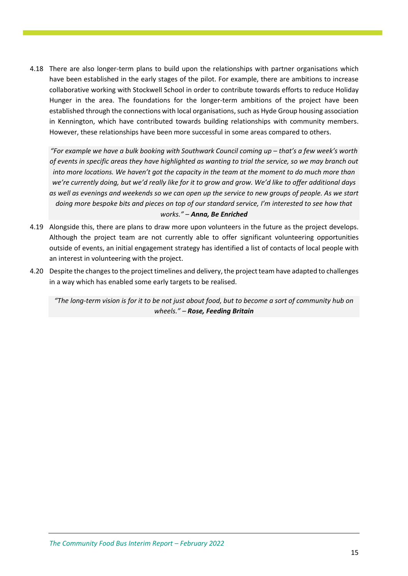4.18 There are also longer-term plans to build upon the relationships with partner organisations which have been established in the early stages of the pilot. For example, there are ambitions to increase collaborative working with Stockwell School in order to contribute towards efforts to reduce Holiday Hunger in the area. The foundations for the longer-term ambitions of the project have been established through the connections with local organisations, such as Hyde Group housing association in Kennington, which have contributed towards building relationships with community members. However, these relationships have been more successful in some areas compared to others.

*"For example we have a bulk booking with Southwark Council coming up – that's a few week's worth of events in specific areas they have highlighted as wanting to trial the service, so we may branch out into more locations. We haven't got the capacity in the team at the moment to do much more than we're currently doing, but we'd really like for it to grow and grow. We'd like to offer additional days as well as evenings and weekends so we can open up the service to new groups of people. As we start doing more bespoke bits and pieces on top of our standard service, I'm interested to see how that works." – Anna, Be Enriched*

- 4.19 Alongside this, there are plans to draw more upon volunteers in the future as the project develops. Although the project team are not currently able to offer significant volunteering opportunities outside of events, an initial engagement strategy has identified a list of contacts of local people with an interest in volunteering with the project.
- 4.20 Despite the changes to the project timelines and delivery, the project team have adapted to challenges in a way which has enabled some early targets to be realised.

*"The long-term vision is for it to be not just about food, but to become a sort of community hub on wheels." – Rose, Feeding Britain*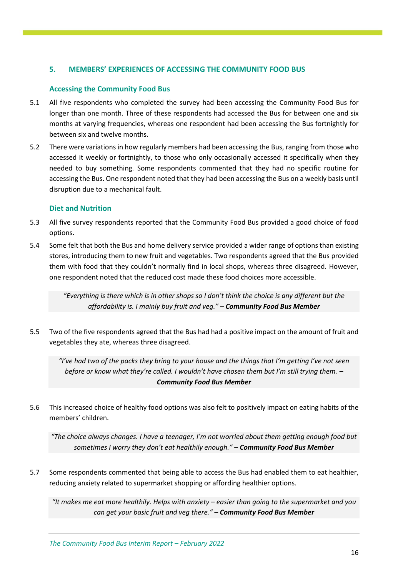## <span id="page-17-0"></span>**5. MEMBERS' EXPERIENCES OF ACCESSING THE COMMUNITY FOOD BUS**

#### **Accessing the Community Food Bus**

- 5.1 All five respondents who completed the survey had been accessing the Community Food Bus for longer than one month. Three of these respondents had accessed the Bus for between one and six months at varying frequencies, whereas one respondent had been accessing the Bus fortnightly for between six and twelve months.
- 5.2 There were variations in how regularly members had been accessing the Bus, ranging from those who accessed it weekly or fortnightly, to those who only occasionally accessed it specifically when they needed to buy something. Some respondents commented that they had no specific routine for accessing the Bus. One respondent noted that they had been accessing the Bus on a weekly basis until disruption due to a mechanical fault.

#### **Diet and Nutrition**

- 5.3 All five survey respondents reported that the Community Food Bus provided a good choice of food options.
- 5.4 Some felt that both the Bus and home delivery service provided a wider range of options than existing stores, introducing them to new fruit and vegetables. Two respondents agreed that the Bus provided them with food that they couldn't normally find in local shops, whereas three disagreed. However, one respondent noted that the reduced cost made these food choices more accessible.

*"Everything is there which is in other shops so I don't think the choice is any different but the affordability is. I mainly buy fruit and veg." – Community Food Bus Member*

5.5 Two of the five respondents agreed that the Bus had had a positive impact on the amount of fruit and vegetables they ate, whereas three disagreed.

*"I've had two of the packs they bring to your house and the things that I'm getting I've not seen before or know what they're called. I wouldn't have chosen them but I'm still trying them. – Community Food Bus Member*

5.6 This increased choice of healthy food options was also felt to positively impact on eating habits of the members' children.

*"The choice always changes. I have a teenager, I'm not worried about them getting enough food but sometimes I worry they don't eat healthily enough." – Community Food Bus Member*

5.7 Some respondents commented that being able to access the Bus had enabled them to eat healthier, reducing anxiety related to supermarket shopping or affording healthier options.

*"It makes me eat more healthily. Helps with anxiety – easier than going to the supermarket and you can get your basic fruit and veg there." – Community Food Bus Member*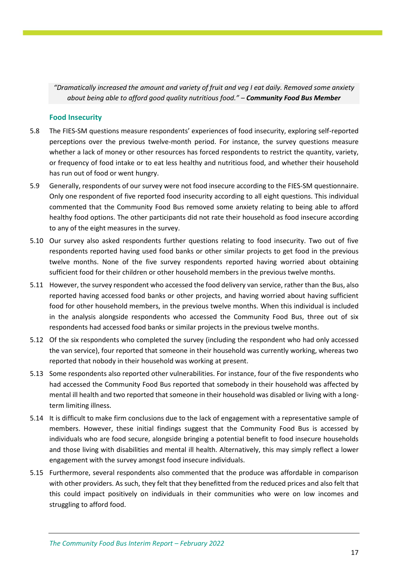*"Dramatically increased the amount and variety of fruit and veg I eat daily. Removed some anxiety about being able to afford good quality nutritious food." – Community Food Bus Member*

#### **Food Insecurity**

- 5.8 The FIES-SM questions measure respondents' experiences of food insecurity, exploring self-reported perceptions over the previous twelve-month period. For instance, the survey questions measure whether a lack of money or other resources has forced respondents to restrict the quantity, variety, or frequency of food intake or to eat less healthy and nutritious food, and whether their household has run out of food or went hungry.
- 5.9 Generally, respondents of our survey were not food insecure according to the FIES-SM questionnaire. Only one respondent of five reported food insecurity according to all eight questions. This individual commented that the Community Food Bus removed some anxiety relating to being able to afford healthy food options. The other participants did not rate their household as food insecure according to any of the eight measures in the survey.
- 5.10 Our survey also asked respondents further questions relating to food insecurity. Two out of five respondents reported having used food banks or other similar projects to get food in the previous twelve months. None of the five survey respondents reported having worried about obtaining sufficient food for their children or other household members in the previous twelve months.
- 5.11 However, the survey respondent who accessed the food delivery van service, rather than the Bus, also reported having accessed food banks or other projects, and having worried about having sufficient food for other household members, in the previous twelve months. When this individual is included in the analysis alongside respondents who accessed the Community Food Bus, three out of six respondents had accessed food banks or similar projects in the previous twelve months.
- 5.12 Of the six respondents who completed the survey (including the respondent who had only accessed the van service), four reported that someone in their household was currently working, whereas two reported that nobody in their household was working at present.
- 5.13 Some respondents also reported other vulnerabilities. For instance, four of the five respondents who had accessed the Community Food Bus reported that somebody in their household was affected by mental ill health and two reported that someone in their household was disabled or living with a longterm limiting illness.
- 5.14 It is difficult to make firm conclusions due to the lack of engagement with a representative sample of members. However, these initial findings suggest that the Community Food Bus is accessed by individuals who are food secure, alongside bringing a potential benefit to food insecure households and those living with disabilities and mental ill health. Alternatively, this may simply reflect a lower engagement with the survey amongst food insecure individuals.
- 5.15 Furthermore, several respondents also commented that the produce was affordable in comparison with other providers. As such, they felt that they benefitted from the reduced prices and also felt that this could impact positively on individuals in their communities who were on low incomes and struggling to afford food.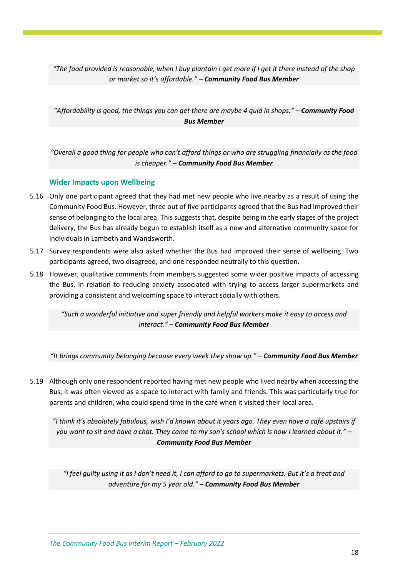*"The food provided is reasonable, when I buy plantain I get more if I get it there instead of the shop or market so it's affordable." – Community Food Bus Member*

*"Affordability is good, the things you can get there are maybe 4 quid in shops." – Community Food Bus Member*

*"Overall a good thing for people who can't afford things or who are struggling financially as the food is cheaper." – Community Food Bus Member*

### **Wider Impacts upon Wellbeing**

- 5.16 Only one participant agreed that they had met new people who live nearby as a result of using the Community Food Bus. However, three out of five participants agreed that the Bus had improved their sense of belonging to the local area. This suggests that, despite being in the early stages of the project delivery, the Bus has already begun to establish itself as a new and alternative community space for individuals in Lambeth and Wandsworth.
- 5.17 Survey respondents were also asked whether the Bus had improved their sense of wellbeing. Two participants agreed, two disagreed, and one responded neutrally to this question.
- 5.18 However, qualitative comments from members suggested some wider positive impacts of accessing the Bus, in relation to reducing anxiety associated with trying to access larger supermarkets and providing a consistent and welcoming space to interact socially with others.

*"Such a wonderful initiative and super friendly and helpful workers make it easy to access and interact." – Community Food Bus Member*

*"It brings community belonging because every week they show up." – Community Food Bus Member*

5.19 Although only one respondent reported having met new people who lived nearby when accessing the Bus, it was often viewed as a space to interact with family and friends. This was particularly true for parents and children, who could spend time in the café when it visited their local area.

*"I think it's absolutely fabulous, wish I'd known about it years ago. They even have a café upstairs if you want to sit and have a chat. They came to my son's school which is how I learned about it." – Community Food Bus Member*

*"I feel guilty using it as I don't need it, I can afford to go to supermarkets. But it's a treat and adventure for my 5 year old." – Community Food Bus Member*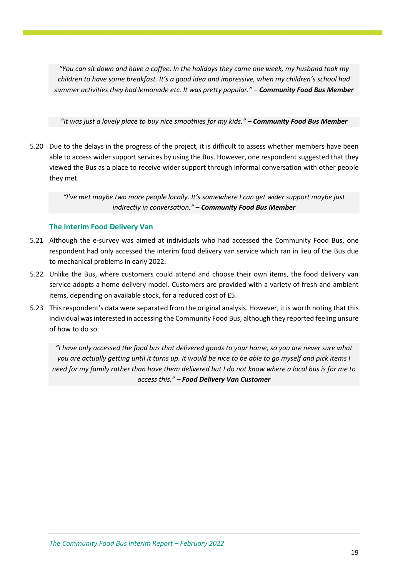*"You can sit down and have a coffee. In the holidays they came one week, my husband took my children to have some breakfast. It's a good idea and impressive, when my children's school had summer activities they had lemonade etc. It was pretty popular." – Community Food Bus Member*

#### *"It was just a lovely place to buy nice smoothies for my kids." – Community Food Bus Member*

5.20 Due to the delays in the progress of the project, it is difficult to assess whether members have been able to access wider support services by using the Bus. However, one respondent suggested that they viewed the Bus as a place to receive wider support through informal conversation with other people they met.

> *"I've met maybe two more people locally. It's somewhere I can get wider support maybe just indirectly in conversation." – Community Food Bus Member*

### **The Interim Food Delivery Van**

- 5.21 Although the e-survey was aimed at individuals who had accessed the Community Food Bus, one respondent had only accessed the interim food delivery van service which ran in lieu of the Bus due to mechanical problems in early 2022.
- 5.22 Unlike the Bus, where customers could attend and choose their own items, the food delivery van service adopts a home delivery model. Customers are provided with a variety of fresh and ambient items, depending on available stock, for a reduced cost of £5.
- 5.23 This respondent's data were separated from the original analysis. However, it is worth noting that this individual was interested in accessing the Community Food Bus, although they reported feeling unsure of how to do so.

*"I have only accessed the food bus that delivered goods to your home, so you are never sure what you are actually getting until it turns up. It would be nice to be able to go myself and pick items I need for my family rather than have them delivered but I do not know where a local bus is for me to access this." – Food Delivery Van Customer*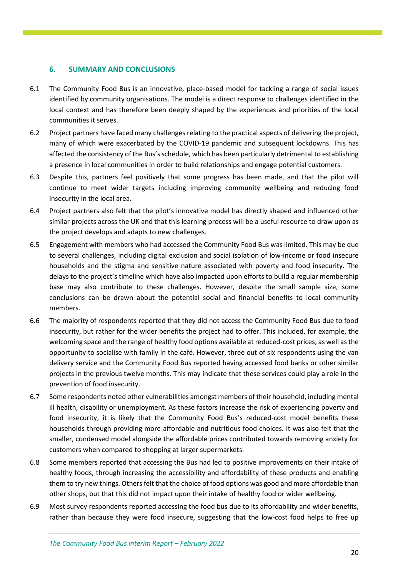## <span id="page-21-0"></span>**6. SUMMARY AND CONCLUSIONS**

- 6.1 The Community Food Bus is an innovative, place-based model for tackling a range of social issues identified by community organisations. The model is a direct response to challenges identified in the local context and has therefore been deeply shaped by the experiences and priorities of the local communities it serves.
- 6.2 Project partners have faced many challenges relating to the practical aspects of delivering the project, many of which were exacerbated by the COVID-19 pandemic and subsequent lockdowns. This has affected the consistency of the Bus'sschedule, which has been particularly detrimental to establishing a presence in local communities in order to build relationships and engage potential customers.
- 6.3 Despite this, partners feel positively that some progress has been made, and that the pilot will continue to meet wider targets including improving community wellbeing and reducing food insecurity in the local area.
- 6.4 Project partners also felt that the pilot's innovative model has directly shaped and influenced other similar projects across the UK and that this learning process will be a useful resource to draw upon as the project develops and adapts to new challenges.
- 6.5 Engagement with members who had accessed the Community Food Bus was limited. This may be due to several challenges, including digital exclusion and social isolation of low-income or food insecure households and the stigma and sensitive nature associated with poverty and food insecurity. The delays to the project's timeline which have also impacted upon efforts to build a regular membership base may also contribute to these challenges. However, despite the small sample size, some conclusions can be drawn about the potential social and financial benefits to local community members.
- 6.6 The majority of respondents reported that they did not access the Community Food Bus due to food insecurity, but rather for the wider benefits the project had to offer. This included, for example, the welcoming space and the range of healthy food options available at reduced-cost prices, as well as the opportunity to socialise with family in the café. However, three out of six respondents using the van delivery service and the Community Food Bus reported having accessed food banks or other similar projects in the previous twelve months. This may indicate that these services could play a role in the prevention of food insecurity.
- 6.7 Some respondents noted other vulnerabilities amongst members of their household, including mental ill health, disability or unemployment. As these factors increase the risk of experiencing poverty and food insecurity, it is likely that the Community Food Bus's reduced-cost model benefits these households through providing more affordable and nutritious food choices. It was also felt that the smaller, condensed model alongside the affordable prices contributed towards removing anxiety for customers when compared to shopping at larger supermarkets.
- 6.8 Some members reported that accessing the Bus had led to positive improvements on their intake of healthy foods, through increasing the accessibility and affordability of these products and enabling them to try new things. Others felt that the choice of food options was good and more affordable than other shops, but that this did not impact upon their intake of healthy food or wider wellbeing.
- 6.9 Most survey respondents reported accessing the food bus due to its affordability and wider benefits, rather than because they were food insecure, suggesting that the low-cost food helps to free up